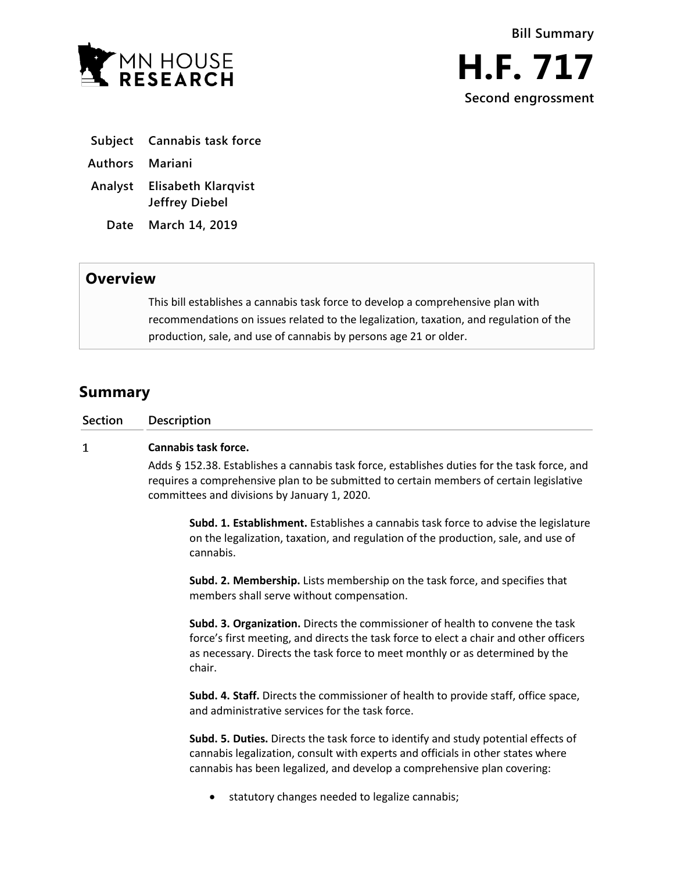

- **Subject Cannabis task force**
- **Authors Mariani**
- **Analyst Elisabeth Klarqvist Jeffrey Diebel**
	- **Date March 14, 2019**

## **Overview**

This bill establishes a cannabis task force to develop a comprehensive plan with recommendations on issues related to the legalization, taxation, and regulation of the production, sale, and use of cannabis by persons age 21 or older.

# **Summary**

| <b>Section</b> | Description |
|----------------|-------------|
|                |             |

#### $\mathbf{1}$ **Cannabis task force.**

Adds § 152.38. Establishes a cannabis task force, establishes duties for the task force, and requires a comprehensive plan to be submitted to certain members of certain legislative committees and divisions by January 1, 2020.

**Subd. 1. Establishment.** Establishes a cannabis task force to advise the legislature on the legalization, taxation, and regulation of the production, sale, and use of cannabis.

**Subd. 2. Membership.** Lists membership on the task force, and specifies that members shall serve without compensation.

**Subd. 3. Organization.** Directs the commissioner of health to convene the task force's first meeting, and directs the task force to elect a chair and other officers as necessary. Directs the task force to meet monthly or as determined by the chair.

**Subd. 4. Staff.** Directs the commissioner of health to provide staff, office space, and administrative services for the task force.

**Subd. 5. Duties.** Directs the task force to identify and study potential effects of cannabis legalization, consult with experts and officials in other states where cannabis has been legalized, and develop a comprehensive plan covering:

statutory changes needed to legalize cannabis;